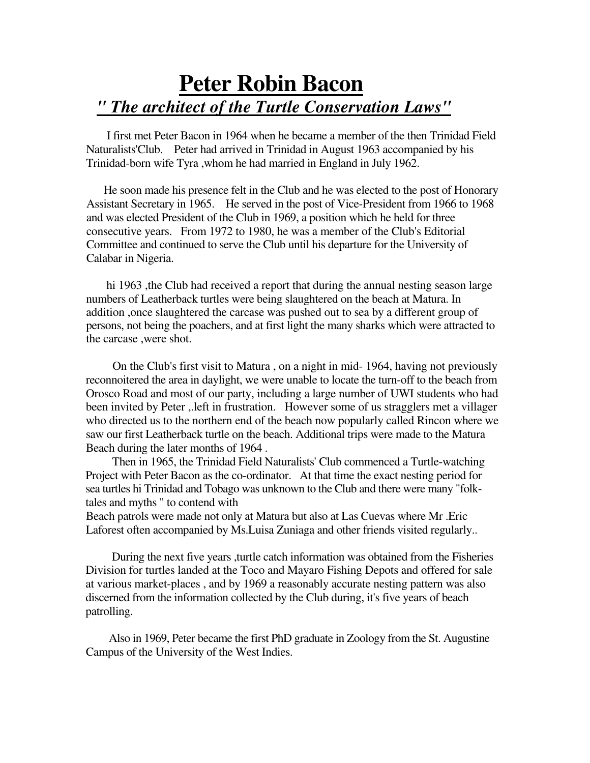## **Peter Robin Bacon** *" The architect of the Turtle Conservation Laws"*

I first met Peter Bacon in 1964 when he became a member of the then Trinidad Field Naturalists'Club. Peter had arrived in Trinidad in August 1963 accompanied by his Trinidad-born wife Tyra ,whom he had married in England in July 1962.

He soon made his presence felt in the Club and he was elected to the post of Honorary Assistant Secretary in 1965. He served in the post of Vice-President from 1966 to 1968 and was elected President of the Club in 1969, a position which he held for three consecutive years. From 1972 to 1980, he was a member of the Club's Editorial Committee and continued to serve the Club until his departure for the University of Calabar in Nigeria.

hi 1963 ,the Club had received a report that during the annual nesting season large numbers of Leatherback turtles were being slaughtered on the beach at Matura. In addition ,once slaughtered the carcase was pushed out to sea by a different group of persons, not being the poachers, and at first light the many sharks which were attracted to the carcase ,were shot.

On the Club's first visit to Matura , on a night in mid- 1964, having not previously reconnoitered the area in daylight, we were unable to locate the turn-off to the beach from Orosco Road and most of our party, including a large number of UWI students who had been invited by Peter ,.left in frustration. However some of us stragglers met a villager who directed us to the northern end of the beach now popularly called Rincon where we saw our first Leatherback turtle on the beach. Additional trips were made to the Matura Beach during the later months of 1964 .

Then in 1965, the Trinidad Field Naturalists' Club commenced a Turtle-watching Project with Peter Bacon as the co-ordinator. At that time the exact nesting period for sea turtles hi Trinidad and Tobago was unknown to the Club and there were many "folktales and myths " to contend with

Beach patrols were made not only at Matura but also at Las Cuevas where Mr .Eric Laforest often accompanied by Ms.Luisa Zuniaga and other friends visited regularly..

During the next five years ,turtle catch information was obtained from the Fisheries Division for turtles landed at the Toco and Mayaro Fishing Depots and offered for sale at various market-places , and by 1969 a reasonably accurate nesting pattern was also discerned from the information collected by the Club during, it's five years of beach patrolling.

Also in 1969, Peter became the first PhD graduate in Zoology from the St. Augustine Campus of the University of the West Indies.